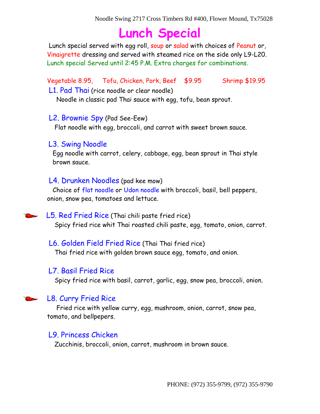# **Lunch Special**

Lunch special served with egg roll, soup or salad with choices of Peanut or, Vinaigrette dressing and served with steamed rice on the side only L9-L20. Lunch special Served until 2:45 P.M. Extra charges for combinations.

Vegetable 8.95, Tofu, Chicken, Pork, Beef \$9.95 Shrimp \$19.95

L1. Pad Thai (rice noodle or clear noodle)

Noodle in classic pad Thai sauce with egg, tofu, bean sprout.

#### L2. Brownie Spy (Pad See-Eew)

Flat noodle with egg, broccoli, and carrot with sweet brown sauce.

#### L3. Swing Noodle

 Egg noodle with carrot, celery, cabbage, egg, bean sprout in Thai style brown sauce.

#### L4. Drunken Noodles (pad kee mow)

 Choice of flat noodle or Udon noodle with broccoli, basil, bell peppers, onion, snow pea, tomatoes and lettuce.

#### L5. Red Fried Rice (Thai chili paste fried rice)

Spicy fried rice whit Thai roasted chili paste, egg, tomato, onion, carrot.

#### L6. Golden Field Fried Rice (Thai Thai fried rice)

Thai fried rice with golden brown sauce egg, tomato, and onion.

# L7. Basil Fried Rice

Spicy fried rice with basil, carrot, garlic, egg, snow pea, broccoli, onion.

# L8. Curry Fried Rice

 Fried rice with yellow curry, egg, mushroom, onion, carrot, snow pea, tomato, and bellpepers.

# L9. Princess Chicken

Zucchinis, broccoli, onion, carrot, mushroom in brown sauce.